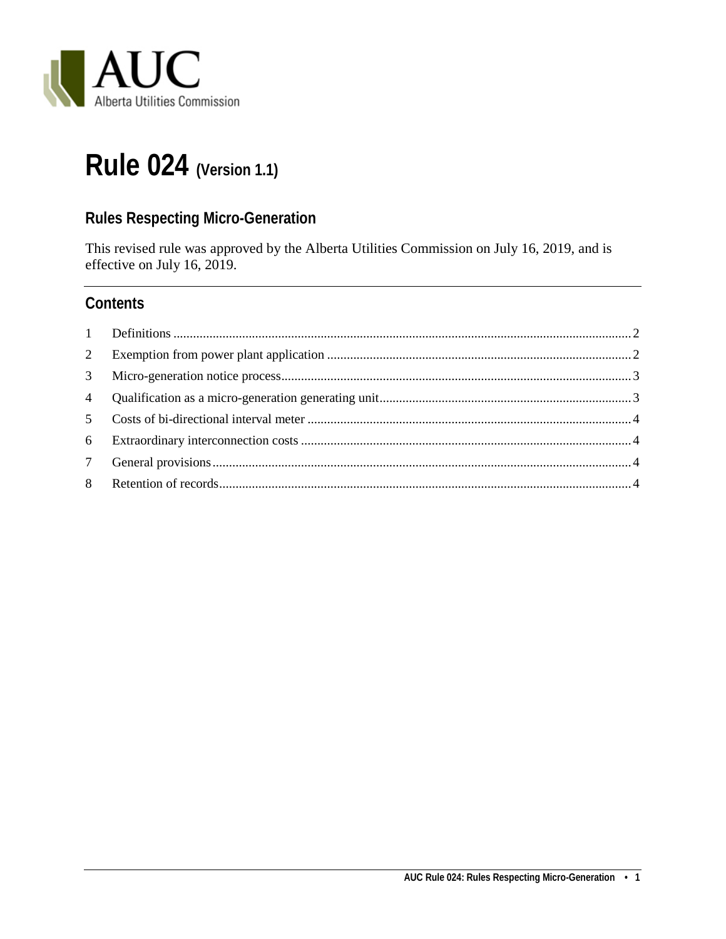

# **Rule 024 (Version 1.1)**

## **Rules Respecting Micro-Generation**

This revised rule was approved by the Alberta Utilities Commission on July 16, 2019, and is effective on July 16, 2019.

### **Contents**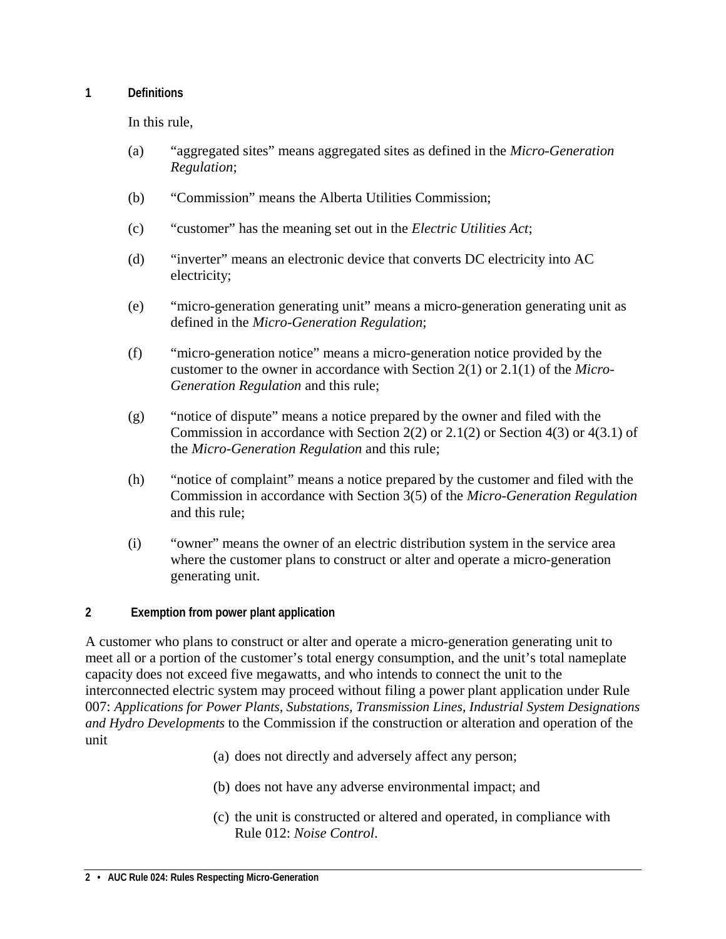#### <span id="page-1-0"></span>**1 Definitions**

In this rule,

- (a) "aggregated sites" means aggregated sites as defined in the *Micro-Generation Regulation*;
- (b) "Commission" means the Alberta Utilities Commission;
- (c) "customer" has the meaning set out in the *Electric Utilities Act*;
- (d) "inverter" means an electronic device that converts DC electricity into AC electricity;
- (e) "micro-generation generating unit" means a micro-generation generating unit as defined in the *Micro-Generation Regulation*;
- (f) "micro-generation notice" means a micro-generation notice provided by the customer to the owner in accordance with Section 2(1) or 2.1(1) of the *Micro-Generation Regulation* and this rule;
- (g) "notice of dispute" means a notice prepared by the owner and filed with the Commission in accordance with Section  $2(2)$  or  $2.1(2)$  or Section  $4(3)$  or  $4(3.1)$  of the *Micro-Generation Regulation* and this rule;
- (h) "notice of complaint" means a notice prepared by the customer and filed with the Commission in accordance with Section 3(5) of the *Micro-Generation Regulation* and this rule;
- (i) "owner" means the owner of an electric distribution system in the service area where the customer plans to construct or alter and operate a micro-generation generating unit.

#### <span id="page-1-1"></span>**2 Exemption from power plant application**

A customer who plans to construct or alter and operate a micro-generation generating unit to meet all or a portion of the customer's total energy consumption, and the unit's total nameplate capacity does not exceed five megawatts, and who intends to connect the unit to the interconnected electric system may proceed without filing a power plant application under Rule 007: *Applications for Power Plants, Substations, Transmission Lines, Industrial System Designations and Hydro Developments* to the Commission if the construction or alteration and operation of the unit

- (a) does not directly and adversely affect any person;
- (b) does not have any adverse environmental impact; and
- (c) the unit is constructed or altered and operated, in compliance with Rule 012: *Noise Control*.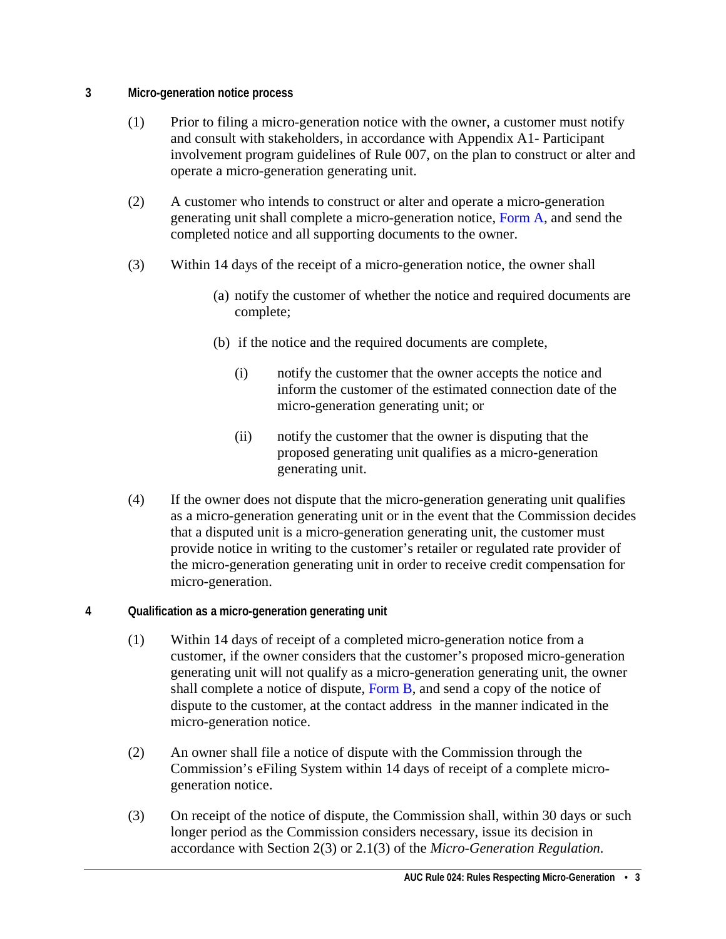- <span id="page-2-0"></span>**3 Micro-generation notice process** 
	- (1) Prior to filing a micro-generation notice with the owner, a customer must notify and consult with stakeholders, in accordance with Appendix A1- Participant involvement program guidelines of Rule 007, on the plan to construct or alter and operate a micro-generation generating unit.
	- (2) A customer who intends to construct or alter and operate a micro-generation generating unit shall complete a micro-generation notice, [Form A,](https://media.www.auc.ab.ca/prd-wp-uploads/regulatory_documents/Reference/FormA-Micro-generationNotice.pdf) and send the completed notice and all supporting documents to the owner.
	- (3) Within 14 days of the receipt of a micro-generation notice, the owner shall
		- (a) notify the customer of whether the notice and required documents are complete;
		- (b) if the notice and the required documents are complete,
			- (i) notify the customer that the owner accepts the notice and inform the customer of the estimated connection date of the micro-generation generating unit; or
			- (ii) notify the customer that the owner is disputing that the proposed generating unit qualifies as a micro-generation generating unit.
	- (4) If the owner does not dispute that the micro-generation generating unit qualifies as a micro-generation generating unit or in the event that the Commission decides that a disputed unit is a micro-generation generating unit, the customer must provide notice in writing to the customer's retailer or regulated rate provider of the micro-generation generating unit in order to receive credit compensation for micro-generation.

#### <span id="page-2-1"></span>**4 Qualification as a micro-generation generating unit**

- (1) Within 14 days of receipt of a completed micro-generation notice from a customer, if the owner considers that the customer's proposed micro-generation generating unit will not qualify as a micro-generation generating unit, the owner shall complete a notice of dispute, [Form B,](https://media.www.auc.ab.ca/prd-wp-uploads/regulatory_documents/Reference/FormB-NoticeofDispute.pdf) and send a copy of the notice of dispute to the customer, at the contact address in the manner indicated in the micro-generation notice.
- (2) An owner shall file a notice of dispute with the Commission through the Commission's eFiling System within 14 days of receipt of a complete microgeneration notice.
- (3) On receipt of the notice of dispute, the Commission shall, within 30 days or such longer period as the Commission considers necessary, issue its decision in accordance with Section 2(3) or 2.1(3) of the *Micro-Generation Regulation.*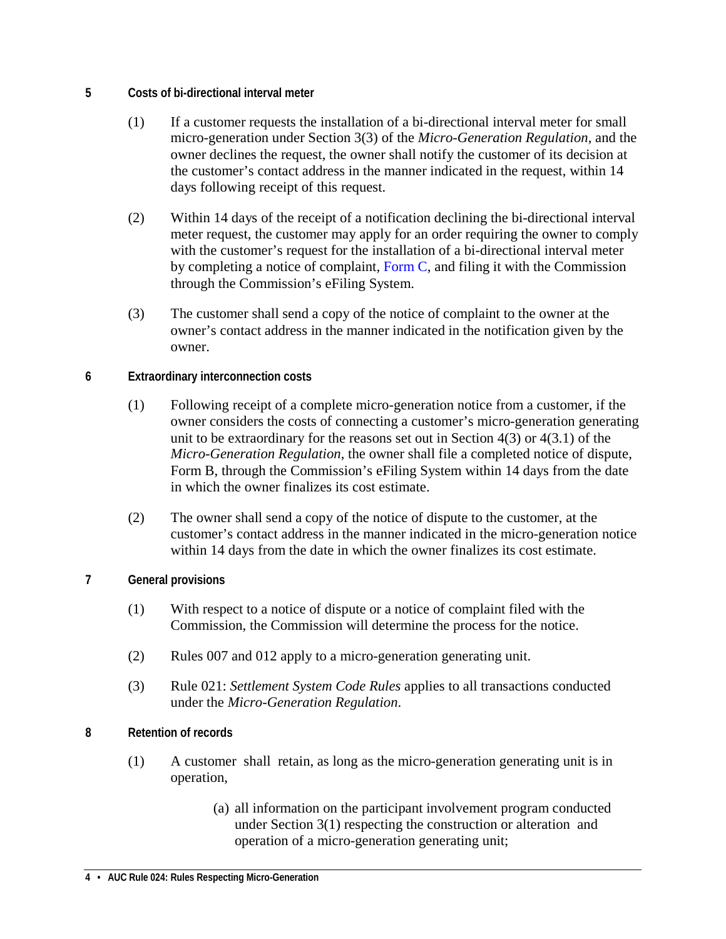- <span id="page-3-0"></span>**5 Costs of bi-directional interval meter**
	- (1) If a customer requests the installation of a bi-directional interval meter for small micro-generation under Section 3(3) of the *Micro-Generation Regulation*, and the owner declines the request, the owner shall notify the customer of its decision at the customer's contact address in the manner indicated in the request, within 14 days following receipt of this request.
	- (2) Within 14 days of the receipt of a notification declining the bi-directional interval meter request, the customer may apply for an order requiring the owner to comply with the customer's request for the installation of a bi-directional interval meter by completing a notice of complaint, Form  $C$ , and filing it with the Commission through the Commission's eFiling System.
	- (3) The customer shall send a copy of the notice of complaint to the owner at the owner's contact address in the manner indicated in the notification given by the owner.
- <span id="page-3-1"></span>**6 Extraordinary interconnection costs**
	- (1) Following receipt of a complete micro-generation notice from a customer, if the owner considers the costs of connecting a customer's micro-generation generating unit to be extraordinary for the reasons set out in Section 4(3) or 4(3.1) of the *Micro-Generation Regulation*, the owner shall file a completed notice of dispute, Form B, through the Commission's eFiling System within 14 days from the date in which the owner finalizes its cost estimate.
	- (2) The owner shall send a copy of the notice of dispute to the customer, at the customer's contact address in the manner indicated in the micro-generation notice within 14 days from the date in which the owner finalizes its cost estimate.
- <span id="page-3-2"></span>**7 General provisions**
	- (1) With respect to a notice of dispute or a notice of complaint filed with the Commission, the Commission will determine the process for the notice.
	- (2) Rules 007 and 012 apply to a micro-generation generating unit.
	- (3) Rule 021: *Settlement System Code Rules* applies to all transactions conducted under the *Micro-Generation Regulation*.
- <span id="page-3-3"></span>**8 Retention of records**
	- (1) A customer shall retain, as long as the micro-generation generating unit is in operation,
		- (a) all information on the participant involvement program conducted under Section 3(1) respecting the construction or alteration and operation of a micro-generation generating unit;